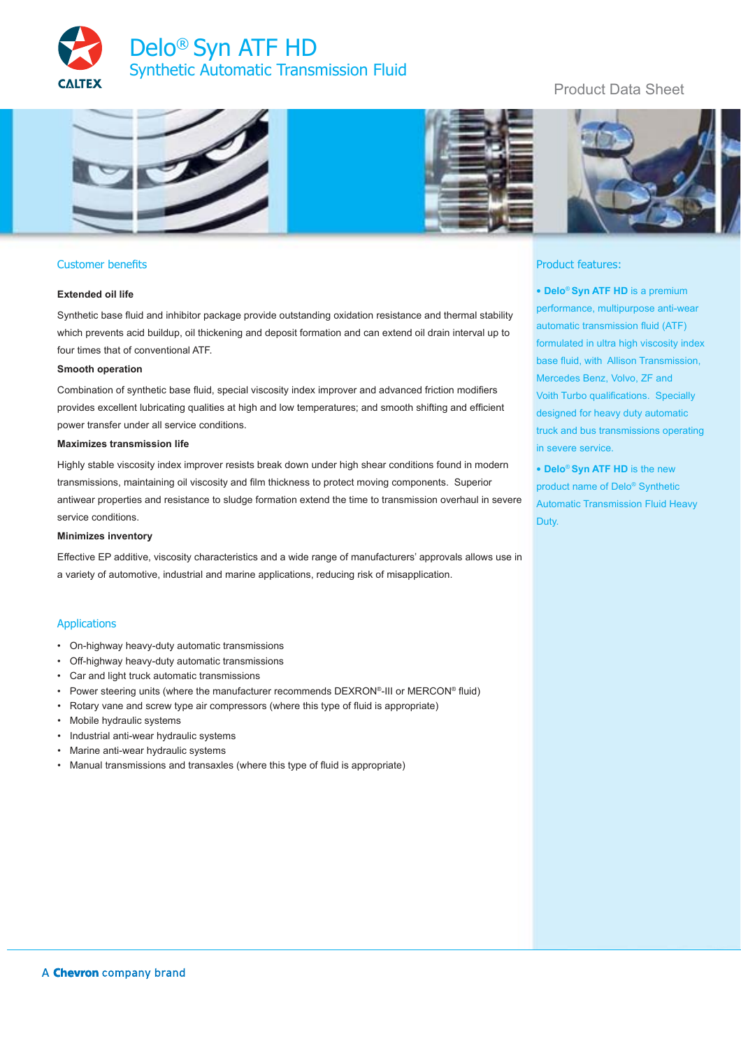



## Customer benefits

### **Extended oil life**

Synthetic base fluid and inhibitor package provide outstanding oxidation resistance and thermal stability which prevents acid buildup, oil thickening and deposit formation and can extend oil drain interval up to four times that of conventional ATF.

#### **Smooth operation**

Combination of synthetic base fluid, special viscosity index improver and advanced friction modifiers provides excellent lubricating qualities at high and low temperatures; and smooth shifting and efficient power transfer under all service conditions.

### **Maximizes transmission life**

Highly stable viscosity index improver resists break down under high shear conditions found in modern transmissions, maintaining oil viscosity and film thickness to protect moving components. Superior antiwear properties and resistance to sludge formation extend the time to transmission overhaul in severe service conditions.

### **Minimizes inventory**

Effective EP additive, viscosity characteristics and a wide range of manufacturers' approvals allows use in a variety of automotive, industrial and marine applications, reducing risk of misapplication.

### Applications

- On-highway heavy-duty automatic transmissions
- Off-highway heavy-duty automatic transmissions
- Car and light truck automatic transmissions
- Power steering units (where the manufacturer recommends DEXRON®-III or MERCON® fluid)
- Rotary vane and screw type air compressors (where this type of fluid is appropriate)
- Mobile hydraulic systems
- Industrial anti-wear hydraulic systems
- Marine anti-wear hydraulic systems
- Manual transmissions and transaxles (where this type of fluid is appropriate)

# Product Data Sheet





### Product features:

• **Delo**® **Syn ATF HD** is a premium performance, multipurpose anti-wear automatic transmission fluid (ATF) formulated in ultra high viscosity index base fluid, with Allison Transmission, Mercedes Benz, Volvo, ZF and Voith Turbo qualifications. Specially designed for heavy duty automatic truck and bus transmissions operating in severe service.

• **Delo**® **Syn ATF HD** is the new product name of Delo® Synthetic Automatic Transmission Fluid Heavy Duty.